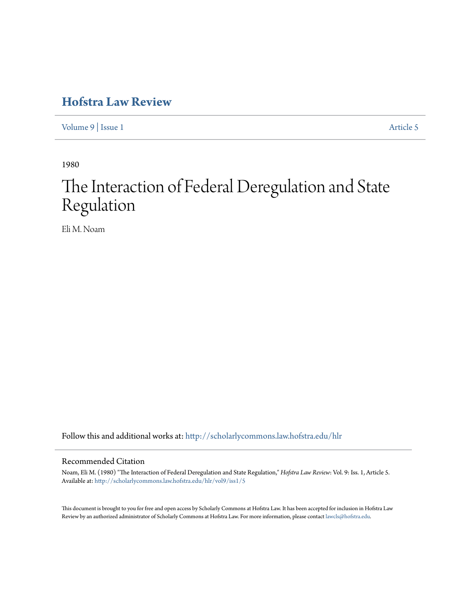## **[Hofstra Law Review](http://scholarlycommons.law.hofstra.edu/hlr?utm_source=scholarlycommons.law.hofstra.edu%2Fhlr%2Fvol9%2Fiss1%2F5&utm_medium=PDF&utm_campaign=PDFCoverPages)**

[Volume 9](http://scholarlycommons.law.hofstra.edu/hlr/vol9?utm_source=scholarlycommons.law.hofstra.edu%2Fhlr%2Fvol9%2Fiss1%2F5&utm_medium=PDF&utm_campaign=PDFCoverPages) | [Issue 1](http://scholarlycommons.law.hofstra.edu/hlr/vol9/iss1?utm_source=scholarlycommons.law.hofstra.edu%2Fhlr%2Fvol9%2Fiss1%2F5&utm_medium=PDF&utm_campaign=PDFCoverPages) [Article 5](http://scholarlycommons.law.hofstra.edu/hlr/vol9/iss1/5?utm_source=scholarlycommons.law.hofstra.edu%2Fhlr%2Fvol9%2Fiss1%2F5&utm_medium=PDF&utm_campaign=PDFCoverPages)

1980

# The Interaction of Federal Deregulation and State Regulation

Eli M. Noam

Follow this and additional works at: [http://scholarlycommons.law.hofstra.edu/hlr](http://scholarlycommons.law.hofstra.edu/hlr?utm_source=scholarlycommons.law.hofstra.edu%2Fhlr%2Fvol9%2Fiss1%2F5&utm_medium=PDF&utm_campaign=PDFCoverPages)

### Recommended Citation

Noam, Eli M. (1980) "The Interaction of Federal Deregulation and State Regulation," *Hofstra Law Review*: Vol. 9: Iss. 1, Article 5. Available at: [http://scholarlycommons.law.hofstra.edu/hlr/vol9/iss1/5](http://scholarlycommons.law.hofstra.edu/hlr/vol9/iss1/5?utm_source=scholarlycommons.law.hofstra.edu%2Fhlr%2Fvol9%2Fiss1%2F5&utm_medium=PDF&utm_campaign=PDFCoverPages)

This document is brought to you for free and open access by Scholarly Commons at Hofstra Law. It has been accepted for inclusion in Hofstra Law Review by an authorized administrator of Scholarly Commons at Hofstra Law. For more information, please contact [lawcls@hofstra.edu](mailto:lawcls@hofstra.edu).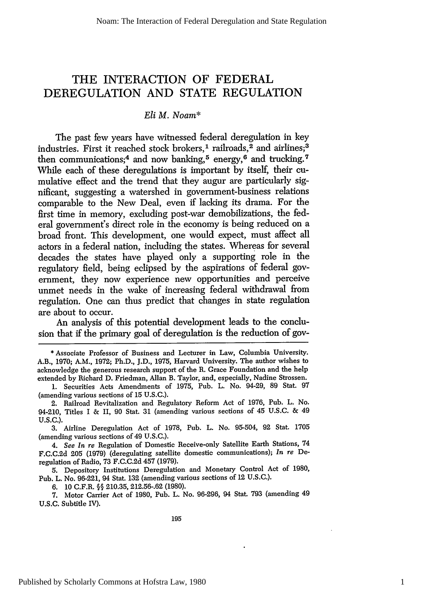### THE **INTERACTION** OF FEDERAL **DEREGULATION AND STATE REGULATION**

### *Eli M. Noam\**

The past few years have witnessed federal deregulation in key industries. First it reached stock brokers,<sup>1</sup> railroads,<sup>2</sup> and airlines;<sup>3</sup> then communications;<sup>4</sup> and now banking,<sup>5</sup> energy,<sup>6</sup> and trucking.<sup>7</sup> While each of these deregulations is important by itself, their cumulative effect and the trend that they augur are particularly significant, suggesting a watershed in government-business relations comparable to the New Deal, even if lacking its drama. For the first time in memory, excluding post-war demobilizations, the federal government's direct role in the economy is being reduced on a broad front. This development, one would expect, must affect all actors in a federal nation, including the states. Whereas for several decades the states have played only a supporting role in the regulatory field, being eclipsed by the aspirations of federal government, they now experience new opportunities and perceive unmet needs in the wake of increasing federal withdrawal from regulation. One can thus predict that changes in state regulation are about to occur.

An analysis of this potential development leads to the conclusion that if the primary goal of deregulation is the reduction of gov-

\* Associate Professor of Business and Lecturer in Law, Columbia University. A.B., 1970; A.M., 1972; Ph.D., J.D., 1975, Harvard University. The author wishes to acknowledge the generous research support of the R. Grace Foundation and the help extended by Richard D. Friedman, Allan B. Taylor, and, especially, Nadine Strossen.

2. Railroad Revitalization and Regulatory Reform Act of 1976, Pub. L. No. 94-210, Titles I & II, 90 Stat. 31 (amending various sections of 45 U.S.C. & 49 **U.S.C.).**

**3.** Airline Deregulation Act of 1978, Pub. L. No. 95-504, 92 Stat. 1705 (amending various sections of 49 U.S.C.).

*4. See In re* Regulation of Domestic Receive-only Satellite Earth Stations, 74 F.C.C.2d 205 (1979) (deregulating satellite domestic communications); *In re* Deregulation of Radio, 73 F.C.C.2d 457 (1979).

5. Depository Institutions Deregulation and Monetary Control Act of 1980, Pub. L. No. 96-221, 94 Stat. 132 (amending various sections of 12 U.S.C.).

6. 10 C.F.R. **§§** 210.35, 212.56-.62 (1980).

7. Motor Carrier Act of 1980, Pub. L. No. 96-296, 94 Stat. 793 (amending 49 U.S.C. Subtitle IV).

1

<sup>1.</sup> Securities Acts Amendments of 1975, Pub. L. No. 94-29, 89 Stat. 97 (amending various sections of 15 U.S.C.).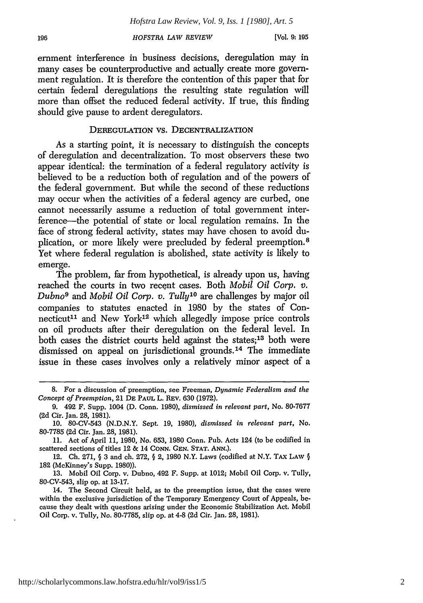[Vol. **9:195**

emnment interference in business decisions, deregulation may in many cases be counterproductive and actually create more government regulation. It is therefore the contention of this paper that for certain federal deregulations the resulting state regulation will more than offset the reduced federal activity. If true, this finding should give pause to ardent deregulators.

### DEREGULATION VS. DECENTRALIZATION

As a starting point, it is necessary to distinguish the concepts of deregulation and decentralization. To most observers these two appear identical: the termination of a federal regulatory activity is believed to be a reduction both of regulation and of the powers of the federal government. But while the second of these reductions may occur when the activities of a federal agency are curbed, one cannot necessarily assume a reduction of total government interference-the potential of state or local regulation remains. In the face of strong federal activity, states may have chosen to avoid duplication, or more likely were precluded by federal preemption. <sup>8</sup> Yet where federal regulation is abolished, state activity is likely to emerge.

The problem, far from hypothetical, is already upon us, having reached the courts in two recent cases. Both *Mobil Oil Corp. v. Dubno9* and *Mobil Oil Corp. v. Tully'0* are challenges by major oil companies to statutes enacted in 1980 by the states of Connecticut<sup>11</sup> and New York<sup>12</sup> which allegedly impose price controls on oil products after their deregulation on the federal level. In both cases the district courts held against the states;<sup>13</sup> both were dismissed on appeal on jurisdictional grounds.<sup>14</sup> The immediate issue in these cases involves only a relatively minor aspect of a

12. **Ch.** 271, § 3 and ch. 272, **§** 2, 1980 N.Y. Laws (codified at N.Y. TAX LAW § 182 (McKinney's Supp. 1980)).

13. Mobil Oil Corp. v. Dubno, 492 F. Supp. at 1012; Mobil Oil Corp. v. Tully, 80-CV-543, slip op. at 13-17.

14. The Second Circuit held, as to the preemption issue, that the cases were within the exclusive jurisdiction of the Temporary Emergency Court of Appeals, because they dealt with questions arising under the Economic Stabilization Act. Mobil Oil Corp. v. Tully, No. 80-7785, slip op. at 4-8 (2d Cir. Jan. **28,** 1981).

<sup>8.</sup> For a discussion of preemption, see Freeman, *Dynamic Federalism and the Concept of Preemption,* 21 DE PAUL L. REv. 630 (1972).

<sup>9. 492</sup> F. Supp. 1004 (D. Conn. 1980), *dismissed in relevant part,* No. 80-7677 (2d Cir. Jan. 28, 1981).

<sup>10. 80-</sup>CV-543 (N.D.N.Y. Sept. 19, 1980), *dismissed in relevant part,* No. 80-7785 (2d Cir. Jan. 28, 1981).

<sup>11.</sup> Act of April 11, 1980, No. 653, 1980 Conn. Pub. Acts 124 (to be codified in scattered sections of titles 12 & 14 CONN. *GEN.* **STAT.** ANN.).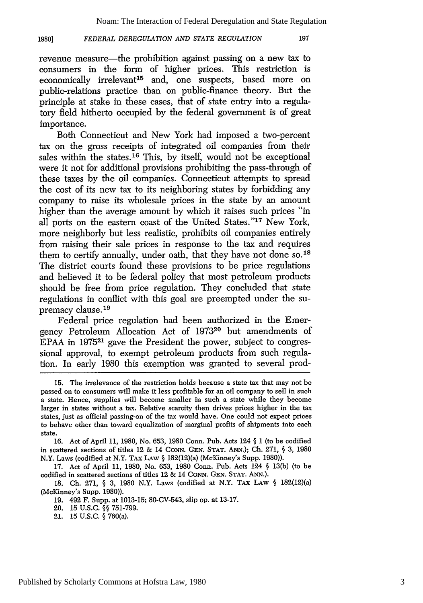#### *FEDERAL DEREGULATION AND STATE REGULATION* **1980]**

197

revenue measure—the prohibition against passing on a new tax to consumers in the form of higher prices. This restriction is economically irrelevant<sup>15</sup> and, one suspects, based more on public-relations practice than on public-finance theory. But the principle at stake in these cases, that of state entry into a regulatory field hitherto occupied by the federal government is of great importance.

Both Connecticut and New York had imposed a two-percent tax on the gross receipts of integrated oil companies from their sales within the states.<sup>16</sup> This, by itself, would not be exceptional were it not for additional provisions prohibiting the pass-through of these taxes by the oil companies. Connecticut attempts to spread the cost of its new tax to its neighboring states by forbidding any company to raise its wholesale prices in the state by an amount higher than the average amount by which it raises such prices "in all ports on the eastern coast of the United States."<sup>17</sup> New York, more neighborly but less realistic, prohibits oil companies entirely from raising their sale prices in response to the tax and requires them to certify annually, under oath, that they have not done **so. <sup>18</sup>** The district courts found these provisions to be price regulations and believed it to be federal policy that most petroleum products should be free from price regulation. They concluded that state regulations in conflict with this goal are preempted under the supremacy clause.19

Federal price regulation had been authorized in the Emergency Petroleum Allocation Act of **197320** but amendments of EPAA in 197521 gave the President the power, subject to congressional approval, to exempt petroleum products from such regulation. In early 1980 this exemption was granted to several prod-

<sup>15.</sup> The irrelevance of the restriction holds because a state tax that may not be passed on to consumers will make it less profitable for an oil company to sell in such a state. Hence, supplies will become smaller in such a state while they become larger in states without a tax. Relative scarcity then drives prices higher in the tax states, just as official passing-on of the tax would have. One could not expect prices to behave other than toward equalization of marginal profits of shipments into each state.

<sup>16.</sup> Act of April 11, 1980, No. 653, 1980 Conn. Pub. Acts 124 **§** 1 (to be codified in scattered sections of titles 12 & 14 **CONN. GEN. STAT. ANN.); Ch.** 271, **§** 3, 1980 N.Y. Laws (codified at N.Y. TAx LAw **§** 182(12)(a) (McKinney's Supp. 1980)).

<sup>17.</sup> Act of April 11, 1980, No. 653, 1980 Conn. Pub. Acts 124 **§** 13(b) (to be codified in scattered sections of titles 12 & 14 CONN. **GEN. STAT. ANN.).**

<sup>18.</sup> Ch. 271, **§** 3, 1980 N.Y. Laws (codified at N.Y. TAx LAW **§** 182(12)(a) (McKinney's Supp. 1980)).

<sup>19. 492</sup> F. Supp. at 1013-15; 80-CV-543, slip op. at 13-17.

<sup>20. 15</sup> U.S.C. **§§** 751-799.

<sup>21. 15</sup> U.S.C. **§** 760(a).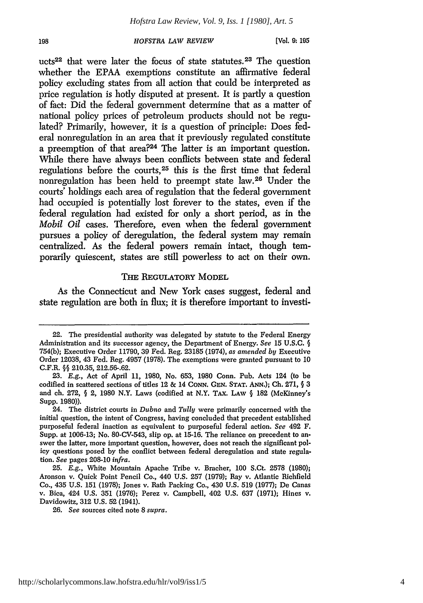**(Vol.** *9: 195*

ucts<sup>22</sup> that were later the focus of state statutes.<sup>23</sup> The question whether the EPAA exemptions constitute an affirmative federal policy excluding states from all action that could be interpreted as price regulation is hotly disputed at present. It is partly a question of fact: Did the federal government determine that as a matter of national policy prices of petroleum products should not be regulated? Primarily, however, it is a question of principle: Does federal nonregulation in an area that it previously regulated constitute a preemption of that area?24 The latter is an important question. While there have always been conflicts between state and federal regulations before the courts, 25 this is the first time that federal nonregulation has been held to preempt state law.26 Under the courts' holdings each area of regulation that the federal government had occupied is potentially lost forever to the states, even if the federal regulation had existed for only a short period, as in the *Mobil Oil* cases. Therefore, even when the federal government pursues a policy of deregulation, the federal system may remain centralized. As the federal powers remain intact, though temporarily quiescent, states are still powerless to act on their own.

### THE REGULATORY MODEL

As the Connecticut and New York cases suggest, federal and state regulation are both in flux; it is therefore important to investi-

<sup>22.</sup> The presidential authority was delegated by statute to the Federal Energy Administration and its successor agency, the Department of Energy. *See* 15 U.S.C. § 754(b); Executive Order 11790, 39 Fed. Reg. 23185 (1974), *as amended by* Executive Order 12038, 43 Fed. Reg. 4957 (1978). The exemptions were granted pursuant to 10 C.F.R. §§ 210.35, 212.56-.62.

<sup>23.</sup> E.g., Act of April 11, 1980, No. 653, 1980 Conn. Pub. Acts 124 (to be codified in scattered sections of titles 12 & 14 **CONN. GEN. STAT.** ANN.); **Ch.** 271, § 3 and ch. 272,  $\S$  2, 1980 N.Y. Laws (codified at N.Y. TAX. LAW  $\S$  182 (McKinney's Supp. **1980)).**

<sup>24.</sup> The district courts in *Dubno* and *Tully* were primarily concerned with the initial question, the intent of Congress, having concluded that precedent established purposeful federal inaction as equivalent to purposeful federal action. *See* 492 F. Supp. at 1006-13; No. 80-CV-543, slip op. at 15-16. The reliance on precedent to answer the latter, more important question, however, does not reach the significant policy questions posed **by** the conflict between federal deregulation and state regulation. *See* pages 208-10 *infra.*

<sup>25.</sup> E.g., White Mountain Apache Tribe v. Bracher, 100 S.Ct. 2578 (1980); Aronson v. Quick Point Pencil Co., 440 U.S. 257 (1979); Ray v. Atlantic Richfield Co., 435 U.S. 151 (1978); Jones v. Rath Packing Co., 430 U.S. 519 (1977); De Canas v. Bica, 424 U.S. 351 (1976); Perez v. Campbell, 402 U.S. 637 (1971); Hines v. Davidowitz, 312 U.S. 52 (1941).

<sup>26.</sup> *See* sources cited note 8 *supra.*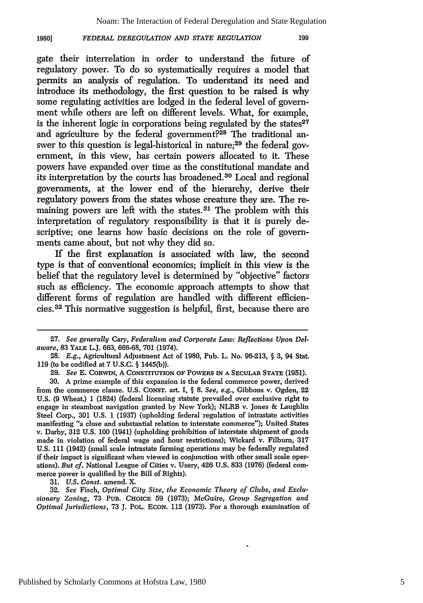#### *FEDERAL DEREGULATION AND STATE REGULATION* **1980]**

199

gate their interrelation in order to understand the future of regulatory power. To do so systematically requires a model that permits an analysis of regulation. To understand its need and introduce its methodology, the first question to be raised is why some regulating activities are lodged in the federal level of government while others are left on different levels. What, for example, is the inherent logic in corporations being regulated by the states $27$ and agriculture by the federal government?<sup>28</sup> The traditional answer to this question is legal-historical in nature;<sup>29</sup> the federal government, in this view, has certain powers allocated to it. These powers have expanded over time as the constitutional mandate and its interpretation by the courts has broadened.30 Local and regional governments, at the lower end of the hierarchy, derive their regulatory powers from the states whose creature they are. The remaining powers are left with the states.31 The problem with this interpretation of regulatory responsibility is that it is purely descriptive; one learns how basic decisions on the role of governments came about, but not why they did so.

If the first explanation is associated with law, the second type is that of conventional economics; implicit in this view is the belief that the regulatory level is determined by "objective" factors such as efficiency. The economic approach attempts to show that different forms of regulation are handled with different efficiencies.3 2 This normative suggestion is helpful, first, because there are

**31.** *U.S. Const.* amend. X.

32. *See* Fisch, *Optimal City Size, the Economic Theory of Clubs, and Exclusionanj Zoning,* 73 PUB. CHOICE 59 (1973); McGuire, *Group Segregation and Optimal Jurisdictions,* 73 J. POL. **ECON.** 112 (1973). For a thorough examination of

<sup>27.</sup> *See generally Cary, Federalism and Corporate Law: Reflections Upon Delaware,* 83 **YALE** L.J. **663, 666-68, 701** (1974).

<sup>28.</sup> *E.g.,* Agricultural Adjustment Act of 1980, Pub. L. No. 96-213, **§** 3, 94 Stat. 119 (to be codified at 7 U.S.C. **§** 1445(b)).

**<sup>29.</sup>** *See* E. **CoRwIN,** A **CONSTITUTION OF POWERS IN A SECULAR STATE** (1951).

**<sup>30.</sup> A** prime example of this expansion is the federal commerce power, derived from the commerce clause. U.S. **CONST.** art. I, **§** 8. *See, e.g.,* Gibbons v. Ogden, 22 U.S. **(9** Wheat.) 1 (1824) (federal licensing statute prevailed over exclusive right to engage in steamboat navigation granted by New York); NLRB v. Jones & Laughlin Steel Corp., 301 U.S. 1 (1937) (upholding federal regulation of intrastate activities manifesting "a close and substantial relation to interstate commerce"); United States v. Darby, 312 U.S. 100 (1941) (upholding prohibition of interstate shipment of goods made in violation of federal wage and hour restrictions); Wickard v. Filburn, 317 **U.S.** 111 (1942) (small scale intrastate farming operations may be federally regulated if their impact is significant when viewed in conjunction with other small scale operations). *But cf.* National League of Cities v. Usery, 426 U.S. 833 (1976) (federal commerce power is qualified by the Bill of Rights).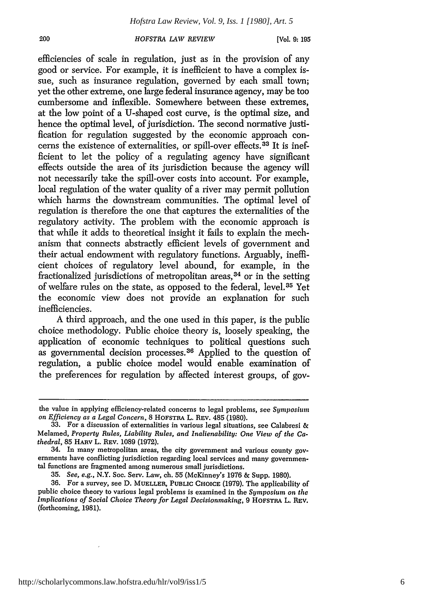[Vol. **9:195**

efficiencies of scale in regulation, just as in the provision of any good or service. For example, it is inefficient to have a complex issue, such as insurance regulation, governed by each small town; yet the other extreme, one large federal insurance agency, may be too cumbersome and inflexible. Somewhere between these extremes, at the low point of a U-shaped cost curve, is the optimal size, and hence the optimal level, of jurisdiction. The second normative justification for regulation suggested by the economic approach concerns the existence of externalities, or spill-over effects. 33 It is inefficient to let the policy of a regulating agency have significant effects outside the area of its jurisdiction because the agency will not necessarily take the spill-over costs into account. For example, local regulation of the water quality of a river may permit pollution which harms the downstream communities. The optimal level of regulation is therefore the one that captures the externalities of the regulatory activity. The problem with the economic approach is that while it adds to theoretical insight it fails to explain the mechanism that connects abstractly efficient levels of government and their actual endowment with regulatory functions. Arguably, inefficient choices of regulatory level abound, for example, in the fractionalized jurisdictions of metropolitan areas, 34 or in the setting of welfare rules on the state, as opposed to the federal, level. 35 Yet the economic view does not provide an explanation for such inefficiencies.

A third approach, and the one used in this paper, is the public choice methodology. Public choice theory is, loosely speaking, the application of economic techniques to political questions such as governmental decision processes. 36 Applied to the question of regulation, a public choice model would enable examination of the preferences for regulation by affected interest groups, of gov-

35. *See, e.g.,* N.Y. Soc. Serv. Law, ch. 55 (McKinney's 1976 & Supp. 1980).

200

the value in applying efficiency-related concerns to legal problems, see *Symposium on Efficiency as a Legal Concern,* 8 HOFSTRA L. REv. 485 (1980).

<sup>33.</sup> For a discussion of externalities in various legal situations, see Calabresi & Melamed, *Property Rules, Liability Rules, and Inalienability: One View of the Cathedral,* 85 HARv L. REV. 1089 (1972).

<sup>34.</sup> In many metropolitan areas, the city government and various county governments have conflicting jurisdiction regarding local services and many governmental functions are fragmented among numerous small jurisdictions.

**<sup>36.</sup>** For a survey, see **D. MUELLER, PUBLIC CHOICE** (1979). The applicability of public choice theory to various legal problems is examined in the *Symposium on the Implications of Social Choice Theory for Legal Decisionmaking,* 9 HOFSTRA L. REV. (forthcoming, 1981).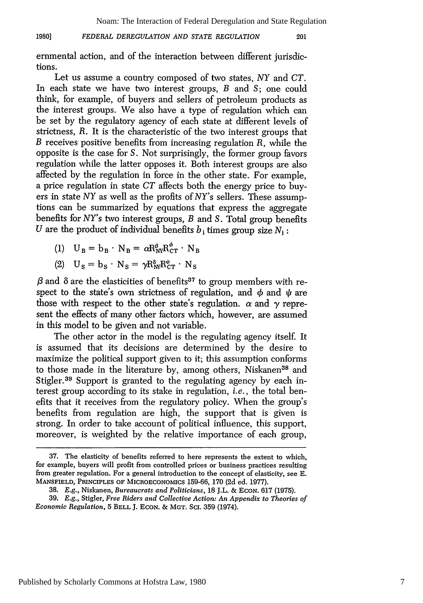#### *FEDERAL DEREGULATION AND STATE REGULATION* **1980]**

201

ernmental action, and of the interaction between different jurisdictions.

Let us assume a country composed of two states, NY and *CT.* In each state we have two interest groups, *B* and S; one could think, for example, of buyers and sellers of petroleum products as the interest groups. We also have a type of regulation which can be set by the regulatory agency of each state at different levels of strictness, *R.* It is the characteristic of the two interest groups that *B* receives positive benefits from increasing regulation *R,* while the opposite is the case for S. Not surprisingly, the former group favors regulation while the latter opposes it. Both interest groups are also affected by the regulation in force in the other state. For example, a price regulation in state *CT* affects both the energy price to buyers in state *NY* as well as the profits of *NY's* sellers. These assumptions can be summarized by equations that express the aggregate benefits for *NY's* two interest groups, *B* and S. Total group benefits *U* are the product of individual benefits  $b_i$  times group size  $N_i$ :

(1)  $U_B = b_B \cdot N_B = \alpha R_{\text{NV}}^{\beta} R_{\text{CT}}^{\phi} \cdot N_B$ 

(2) 
$$
U_s = b_s \cdot N_s = \gamma R_{N}^{\delta} R_{CT}^{\psi} \cdot N_s
$$

 $\beta$  and  $\delta$  are the elasticities of benefits<sup>37</sup> to group members with respect to the state's own strictness of regulation, and  $\phi$  and  $\psi$  are those with respect to the other state's regulation.  $\alpha$  and  $\gamma$  represent the effects of many other factors which, however, are assumed in this model to be given and not variable.

The other actor in the model is the regulating agency itself. It is assumed that its decisions are determined by the desire to maximize the political support given to it; this assumption conforms to those made in the literature by, among others, Niskanen<sup>38</sup> and Stigler.<sup>39</sup> Support is granted to the regulating agency by each interest group according to its stake in regulation, *i.e.,* the total benefits that it receives from the regulatory policy. When the group's benefits from regulation are high, the support that is given is strong. In order to take account of political influence, this support, moreover, is weighted by the relative importance of each group,

<sup>37.</sup> The elasticity of benefits referred to here represents the extent to which, for example, buyers will profit from controlled prices or business practices resulting from greater regulation. For a general introduction to the concept of elasticity, see E. MANSFIELD, PRINCIPLES OF **MICROECONOMICS** 159-66, 170 (2d ed. 1977).

<sup>38.</sup> *E.g.,* Niskanen, *Bureaucrats and Politicians,* 18 J.L. & **ECON.** 617 (1975).

<sup>39.</sup> E.g., Stigler, *Free Riders and Collective Action: An Appendix to Theories of Economic Regulation,* 5 BELL J. **ECON.** & MGT. So. 359 (1974).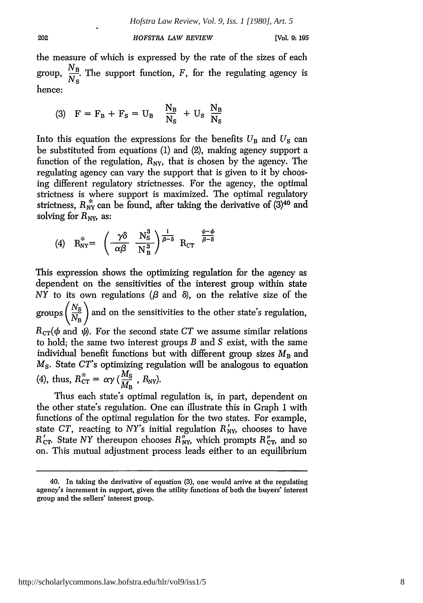the measure of which is expressed by the rate of the sizes of each *NB* group,  $\frac{P}{\lambda I}$ . The support function, F, for the regulating agency is hence:

$$
(3) \quad \mathbf{F} = \mathbf{F}_{\mathbf{B}} + \mathbf{F}_{\mathbf{S}} = \mathbf{U}_{\mathbf{B}} \quad \frac{\mathbf{N}_{\mathbf{B}}}{\mathbf{N}_{\mathbf{S}}} + \mathbf{U}_{\mathbf{S}} \quad \frac{\mathbf{N}_{\mathbf{B}}}{\mathbf{N}_{\mathbf{S}}}
$$

202

Into this equation the expressions for the benefits  $U_B$  and  $U_S$  can be substituted from equations (1) and (2), making agency support a function of the regulation,  $R_{\text{NY}}$ , that is chosen by the agency. The regulating agency can vary the support that is given to it by choosing different regulatory strictnesses. For the agency, the optimal strictness is where support is maximized. The optimal regulatory strictness,  $R_{\text{NY}}^*$  can be found, after taking the derivative of  $(3)^{40}$  and solving for  $R_{\text{NY}}$ , as:

$$
(4) \quad R_{\rm NY}^* = \left( \begin{array}{cc} \gamma \delta & N_{\rm S}^3 \\ \alpha \beta & N_{\rm B}^3 \end{array} \right) \frac{1}{\beta - \delta} \quad R_{\rm CT} \quad \frac{\psi - \phi}{\beta - \delta}
$$

This expression shows the optimizing regulation for the agency as dependent on the sensitivities of the interest group within state  $NY$  to its own regulations ( $\beta$  and  $\delta$ ), on the relative size of the groups  $\left(\frac{N_S}{N_B}\right)$  and on the sensitivities to the other state's regulation,  $R_{CT}(\phi \text{ and } \psi)$ . For the second state *CT* we assume similar relations to hold; the same two interest groups *B* and S exist, with the same individual benefit functions but with different group sizes  $M_B$  and *M<sub>s</sub>*. State *CT*'s optimizing regulation will be analogous to equation (4), thus,  $R_{CT}^* = \alpha \gamma \left( \frac{M_S}{M_B} \right)$ ,  $R_{NY}$ ).

Thus each state's optimal regulation is, in part, dependent on the other state's regulation. One can illustrate this in Graph 1 with functions of the optimal regulation for the two states. For example, state *CT*, reacting to *NY*'s initial regulation  $R'_{\text{NY}}$ , chooses to have  $R'_{\text{CT}}$ . State NY thereupon chooses  $R''_{\text{NY}}$ , which prompts  $R''_{\text{CT}}$ , and so on. This mutual adjustment process leads either to an equilibrium

<sup>40.</sup> In taking the derivative of equation (3), one would arrive at the regulating agency's increment in support, given the utility functions of both the buyers' interest group and the sellers' interest group.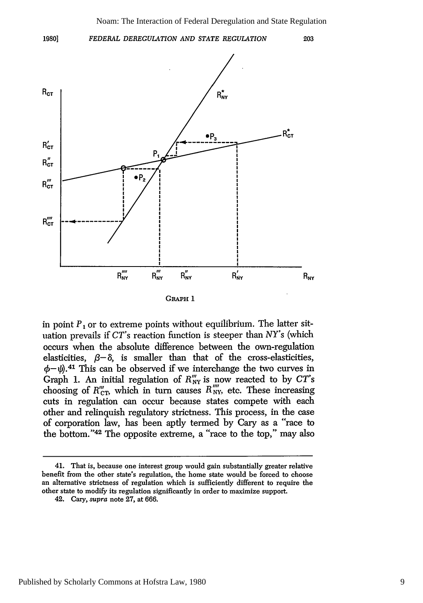203

**1980]**

*FEDERAL DEREGULATION AND STATE REGULATION*



**GRAPH I**

in point  $P_1$  or to extreme points without equilibrium. The latter situation prevails if *CT's* reaction function is steeper than *NY's* (which occurs when the absolute difference between the own-regulation elasticities,  $\beta-\delta$ , is smaller than that of the cross-elasticities,  $\phi - \psi$ .<sup>41</sup> This can be observed if we interchange the two curves in Graph **1.** An initial regulation of R **y** is now reacted to **by** *CT's* chaph 1. An initial regulation of  $R_{\text{NV}}$  is now reacted to by CT  $\epsilon$ . cuts in regulation can occur because states compete with each other and relinquish regulatory strictness. This process, in the case of corporation law, has been aptly termed **by** Cary as a "race to the bottom."<sup>42</sup> The opposite extreme, a "race to the top," may also

<sup>41.</sup> That is, because one interest group would gain substantially greater relative benefit from the other state's regulation, the home state would be forced to choose an alternative strictness of regulation which is **sufficiently** different to require the other state to modify its regulation significantly in order to maximize support.

<sup>42.</sup> Cary, *supra* note **27,** at **666.**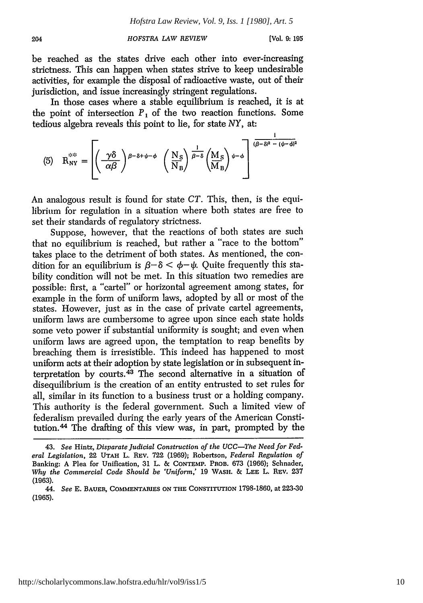be reached as the states drive each other into ever-increasing strictness. This can happen when states strive to keep undesirable activities, for example the disposal of radioactive waste, out of their jurisdiction, and issue increasingly stringent regulations.

In those cases where a stable equilibrium is reached, it is at the point of intersection  $P_1$  of the two reaction functions. Some tedious algebra reveals this point to lie, for state *NY,* at:

(5) 
$$
R_{NY}^{***} = \left[ \left( \frac{\gamma \delta}{\alpha \beta} \right)^{\beta - \delta + \psi - \phi} \left( \frac{N_S}{N_B} \right)^{\frac{1}{\beta - \delta}} \left( \frac{M_S}{M_B} \right)^{\psi - \phi} \right]^{\frac{1}{(\beta - \delta)^2 - (\psi - \phi)^2}}
$$

An analogous result is found for state *CT.* This, then, is the equilibrium for regulation in a situation where both states are free to set their standards of regulatory strictness.

Suppose, however, that the reactions of both states are such that no equilibrium is reached, but rather a "race to the bottom" takes place to the detriment of both states. As mentioned, the condition for an equilibrium is  $\beta-\delta < \phi-\psi$ . Quite frequently this stability condition will not be met. In this situation two remedies are possible: first, a "cartel" or horizontal agreement among states, for example in the form of uniform laws, adopted by all or most of the states. However, just as in the case of private cartel agreements, uniform laws are cumbersome to agree upon since each state holds some veto power if substantial uniformity is sought; and even when uniform laws are agreed upon, the temptation to reap benefits by breaching them is irresistible. This indeed has happened to most uniform acts at their adoption by state legislation or in subsequent interpretation by courts. $43$  The second alternative in a situation of disequilibrium is the creation of an entity entrusted to set rules for all, similar in its function to a business trust or a holding company. This authority is the federal government. Such a limited view of federalism prevailed during the early years of the American Constitution.<sup>44</sup> The drafting of this view was, in part, prompted by the

<sup>43.</sup> *See* Hintz, *Disparate Judicial Construction of the UCC-The Need for Federal Legislation,* 22 UTAH L. REV. 722 (1969); Robertson, *Federal Regulation of* Banking: A Plea for Unification, 31 L. & **CONTEMP.** PROB. 673 (1966); Schnader, *Why the Commercial Code Should be 'Uniform,'* 19 WASH. & **LEE** L. REV. 237 **(1963).**

<sup>44.</sup> *See* E. **BAUE,** COMMENTARIES **ON** THE **CONSTITUTION** 1798-1860, at 223-30 **(1965).**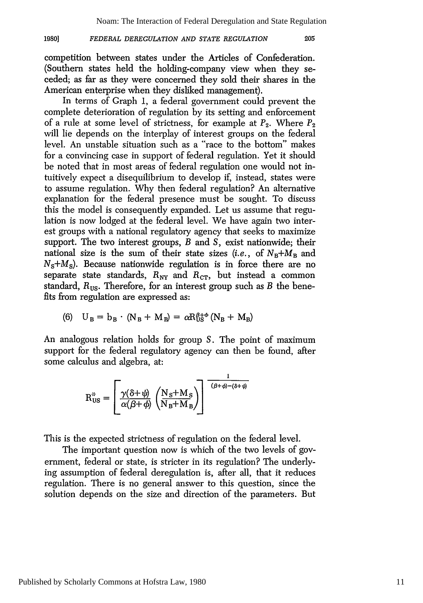205

#### *FEDERAL DEREGULATION AND STATE REGULATION* **1980]**

competition between states under the Articles of Confederation. (Southern states held the holding-company view when they seceded; as far as they were concerned they sold their shares in the American enterprise when they disliked management).

In terms of Graph 1, a federal government could prevent the complete deterioration of regulation by its setting and enforcement of a rule at some level of strictness, for example at  $P_2$ . Where  $P_2$ will lie depends on the interplay of interest groups on the federal level. An unstable situation such as a "race to the bottom" makes for a convincing case in support of federal regulation. Yet it should be noted that in most areas of federal regulation one would not intuitively expect a disequilibrium to develop if, instead, states were to assume regulation. Why then federal regulation? An alternative explanation for the federal presence must be sought. To discuss this the model is consequently expanded. Let us assume that regulation is now lodged at the federal level. We have again two interest groups with a national regulatory agency that seeks to maximize support. The two interest groups, *B* and S, exist nationwide; their national size is the sum of their state sizes  $(i.e., of N_B+M_B$  and  $N_s+M_s$ ). Because nationwide regulation is in force there are no separate state standards,  $R_{\text{NY}}$  and  $R_{\text{CT}}$ , but instead a common standard,  $R_{\text{US}}$ . Therefore, for an interest group such as  $B$  the benefits from regulation are expressed as:

(6) 
$$
U_B = b_B \cdot (N_B + M_B) = \alpha R_{US}^{\beta + \phi} (N_B + M_B)
$$

An analogous relation holds for group S. The point of maximum support for the federal regulatory agency can then be found, after some calculus and algebra, at:

$$
R_{US}^{\text{#}} = \left[ \frac{\gamma(\delta + \psi)}{\alpha(\beta + \phi)} \left( \frac{N_S + M_S}{N_B + M_B} \right) \right]^{-\frac{1}{(\beta + \phi) - (\delta + \psi)}}
$$

This is the expected strictness of regulation on the federal level.

The important question now is which of the two levels of government, federal or state, is stricter in its regulation? The underlying assumption of federal deregulation is, after all, that it reduces regulation. There is no general answer to this question, since the solution depends on the size and direction of the parameters. But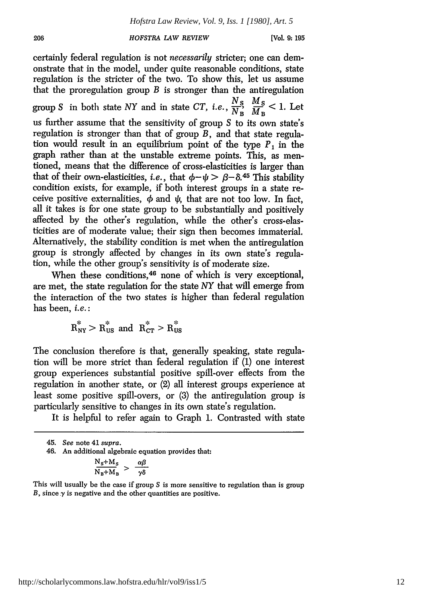certainly federal regulation is not *necessarily* stricter; one can demonstrate that in the model, under quite reasonable conditions, state regulation is the stricter of the two. To show this, let us assume that the proregulation group  $B$  is stronger than the antiregulation group S in both state NY and in state CT, *i.e.*,  $\frac{N_S}{N_B}$ ,  $\frac{M_S}{M_B}$  < 1. Let us further assume that the sensitivity of group S to its own state's regulation is stronger than that of group *B,* and that state regulation would result in an equilibrium point of the type *P,* in the graph rather than at the unstable extreme points. This, as mentioned, means that the difference of cross-elasticities is larger than that of their own-elasticities, *i.e.*, that  $\phi - \psi > \beta - \delta$ .<sup>45</sup> This stability condition exists, for example, if both interest groups in a state receive positive externalities,  $\phi$  and  $\psi$ , that are not too low. In fact, all it takes is for one state group to be substantially and positively affected by the other's regulation, while the other's cross-elasticities are of moderate value; their sign then becomes immaterial. Alternatively, the stability condition is met when the antiregulation group is strongly affected by changes in its own state's regulation, while the other group's sensitivity is of moderate size.

When these conditions,<sup>46</sup> none of which is very exceptional, are met, the state regulation for the state NY that will emerge from the interaction of the two states is higher than federal regulation has been, *i.e.:*

 $R_{\text{ny}}^* > R_{\text{US}}^*$  and  $R_{\text{CT}}^* > R_{\text{US}}^*$ 

The conclusion therefore is that, generally speaking, state regulation will be more strict than federal regulation if (1) one interest group experiences substantial positive spill-over effects from the regulation in another state, or (2) all interest groups experience at least some positive spill-overs, or (3) the antiregulation group is particularly sensitive to changes in its own state's regulation.

It is helpful to refer again to Graph 1. Contrasted with state

46. An additional algebraic equation provides that:

$$
\frac{N_s + M_s}{N_B + M_B} > \frac{\alpha \beta}{\gamma \delta}
$$

This will usually be the case if group S is more sensitive to regulation than is group *B*, since  $\gamma$  is negative and the other quantities are positive.

<sup>45.</sup> *See* note 41 supra.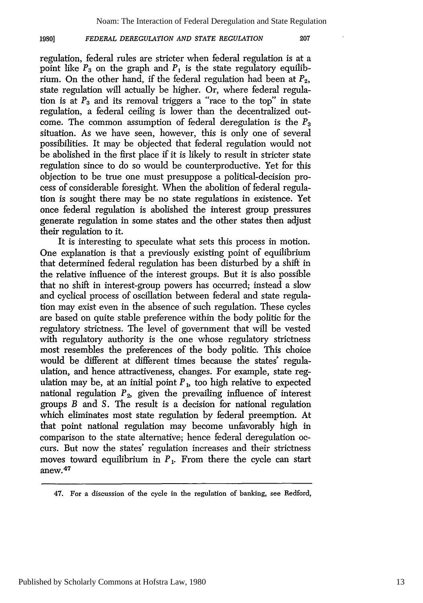207

#### *FEDERAL DEREGULATION AND STATE REGULATION* **1980]**

regulation, federal rules are stricter when federal regulation is at a point like  $P_3$  on the graph and  $P_1$  is the state regulatory equilibrium. On the other hand, if the federal regulation had been at *P2,* state regulation will actually be higher. Or, where federal regulation is at  $P_3$  and its removal triggers a "race to the top" in state regulation, a federal ceiling is lower than the decentralized outcome. The common assumption of federal deregulation is the *P3* situation. As we have seen, however, this is only one of several possibilities. It may be objected that federal regulation would not be abolished in the first place if it is likely to result in stricter state regulation since to do so would be counterproductive. Yet for this objection to be true one must presuppose a political-decision process of considerable foresight. When the abolition of federal regulation is sought there may be no state regulations in existence. Yet once federal regulation is abolished the interest group pressures generate regulation in some states and the other states then adjust their regulation to it.

It is interesting to speculate what sets this process in motion. One explanation is that a previously existing point of equilibrium that determined federal regulation has been disturbed by a shift in the relative influence of the interest groups. But it is also possible that no shift in interest-group powers has occurred; instead a slow and cyclical process of oscillation between federal and state regulation may exist even in the absence of such regulation. These cycles are based on quite stable preference within the body politic for the regulatory strictness. The level of government that will be vested with regulatory authority is the one whose regulatory strictness most resembles the preferences of the body politic. This choice would be different at different times because the states' regulaulation, and hence attractiveness, changes. For example, state regulation may be, at an initial point  $P<sub>1</sub>$ , too high relative to expected national regulation  $P_2$ , given the prevailing influence of interest groups *B* and S. The result is a decision for national regulation which eliminates most state regulation by federal preemption. At that point national regulation may become unfavorably high in comparison to the state alternative; hence federal deregulation occurs. But now the states' regulation increases and their strictness moves toward equilibrium in  $P_1$ . From there the cycle can start anew. **47**

<sup>47.</sup> For a discussion of the cycle in the regulation of banking, see Redford,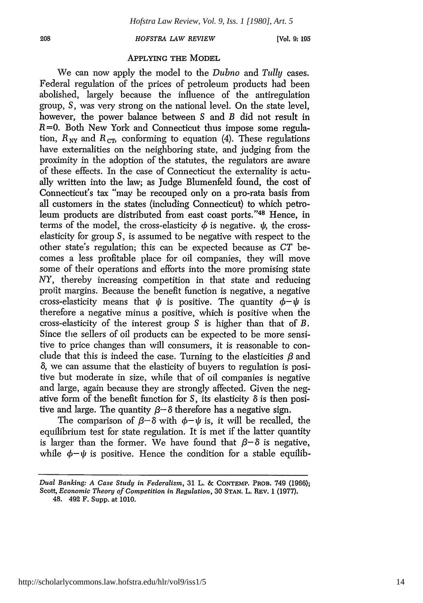**[Vol. 9:195**

### APPLYING THE MODEL

We can now apply the model to the *Dubno* and *Tully* cases. Federal regulation of the prices of petroleum products had been abolished, largely because the influence of the antiregulation group, **S,** was very strong on the national level. On the state level, however, the power balance between S and *B* did not result in R=0. Both New York and Connecticut thus impose some regulation,  $R_{\text{NV}}$  and  $R_{\text{CT}}$ , conforming to equation (4). These regulations have externalities on the neighboring state, and judging from the proximity in the adoption of the statutes, the regulators are aware of these effects. In the case of Connecticut the externality is actually written into the law; as Judge Blumenfeld found, the cost of Connecticut's tax "may be recouped only on a pro-rata basis from all customers in the states (including Connecticut) to which petroleum products are distributed from east coast ports."48 Hence, in terms of the model, the cross-elasticity  $\phi$  is negative.  $\psi$ , the crosselasticity for group **S,** is assumed to be negative with respect to the other state's regulation; this can be expected because as *CT* becomes a less profitable place for oil companies, they will move some of their operations and efforts into the more promising state NY, thereby increasing competition in that state and reducing profit margins. Because the benefit function is negative, a negative cross-elasticity means that  $\psi$  is positive. The quantity  $\phi - \psi$  is therefore a negative minus a positive, which is positive when the cross-elasticity of the interest group S is higher than that of *B.* Since the sellers of oil products can be expected to be more sensitive to price changes than will consumers, it is reasonable to conclude that this is indeed the case. Turning to the elasticities  $\beta$  and **a,** we can assume that the elasticity of buyers to regulation is positive but moderate in size, while that of oil companies is negative and large, again because they are strongly affected. Given the negative form of the benefit function for  $S$ , its elasticity  $\delta$  is then positive and large. The quantity  $\beta$   $\rightarrow$   $\delta$  therefore has a negative sign.

The comparison of  $\beta-\delta$  with  $\phi-\psi$  is, it will be recalled, the equilibrium test for state regulation. It is met if the latter quantity is larger than the former. We have found that  $\beta-\delta$  is negative, while  $\phi - \psi$  is positive. Hence the condition for a stable equilib-

*Dual Banking: A Case Study in Federalism,* **31** L. **& CONTEMP.** PROB. 749 **(1966);** Scott, *Economic Theory of Competition in Regulation,* **30 STAN.** L. **REV. 1 (1977).** 48. 492 F. Supp. at **1010.**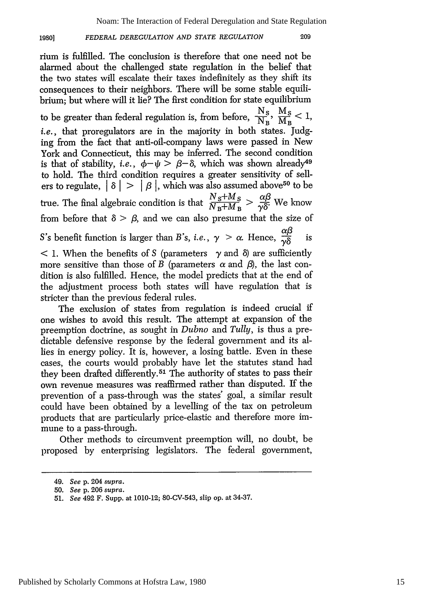Noam: The Interaction of Federal Deregulation and State Regulation

#### *FEDERAL DEREGULATION AND STATE REGULATION* **1980]**

209

rium is fulfilled. The conclusion is therefore that one need not be alarmed about the challenged state regulation in the belief that the two states will escalate their taxes indefinitely as they shift its consequences to their neighbors. There will be some stable equilibrium; but where will it lie? The first condition for state equilibrium to be greater than federal regulation is, from before,  $\frac{N_S}{N_B}, \frac{M_S}{M_B} < 1$ , *i.e.*, that proregulators are in the majority in both states. Judging from the fact that anti-oil-company laws were passed in New York and Connecticut, this may be inferred. The second condition is that of stability, *i.e.*,  $\phi - \psi > \beta - \delta$ , which was shown already<sup>49</sup> to hold. The third condition requires a greater sensitivity of sellers to regulate,  $| \delta | > | \beta |$ , which was also assumed above<sup>50</sup> to be true. The final algebraic condition is that  $\frac{N_S+M_S}{N_B+M_B} > \frac{\alpha\beta}{\gamma\delta}$ . We know from before that  $\delta > \beta$ , and we can also presume that the size of S's benefit function is larger than *B*'s, *i.e.*,  $\gamma > \alpha$ . Hence,  $\frac{\alpha\beta}{\gamma\delta}$  is < 1. When the benefits of S (parameters **y** and **8)** are sufficiently more sensitive than those of *B* (parameters  $\alpha$  and  $\beta$ ), the last condition is also fulfilled. Hence, the model predicts that at the end of the adjustment process both states will have regulation that is stricter than the previous federal rules. The exclusion of states from regulation is indeed crucial if one wishes to avoid this result. The attempt at expansion of the preemption doctrine, as sought in *Dubno* and *Tully,* is thus a predictable defensive response by the federal government and its al-

lies in energy policy. It is, however, a losing battle. Even in these cases, the courts would probably have let the statutes stand had they been drafted differently. 51 The authority of states to pass their own revenue measures was reaffirmed rather than disputed. If the prevention of a pass-through was the states' goal, a similar result could have been obtained by a levelling of the tax on petroleum products that are particularly price-elastic and therefore more immune to a pass-through.

Other methods to circumvent preemption will, no doubt, be proposed by enterprising legislators. The federal government,

<sup>49.</sup> *See* p. 204 *supra.*

<sup>50.</sup> *See* p. 206 *supra.*

<sup>51.</sup> *See* 492 F. Supp. at 1010-12; 80-CV-543, slip op. at 34-37.